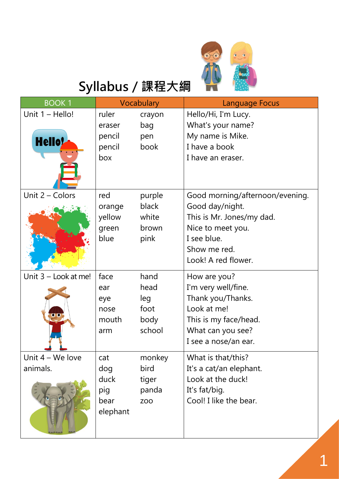

## **Syllabus/課程大綱**

| <b>BOOK1</b>           |          | Vocabulary | <b>Language Focus</b>           |
|------------------------|----------|------------|---------------------------------|
| Unit 1 - Hello!        | ruler    | crayon     | Hello/Hi, I'm Lucy.             |
|                        | eraser   | bag        | What's your name?               |
| <b>Hello</b>           | pencil   | pen        | My name is Mike.                |
|                        | pencil   | book       | I have a book                   |
|                        | box      |            | I have an eraser.               |
| Unit 2 - Colors        | red      | purple     | Good morning/afternoon/evening. |
|                        | orange   | black      | Good day/night.                 |
|                        | yellow   | white      | This is Mr. Jones/my dad.       |
|                        | green    | brown      | Nice to meet you.               |
|                        | blue     | pink       | I see blue.                     |
|                        |          |            | Show me red.                    |
|                        |          |            | Look! A red flower.             |
| Unit $3$ – Look at me! | face     | hand       | How are you?                    |
|                        | ear      | head       | I'm very well/fine.             |
|                        | eye      | leg        | Thank you/Thanks.               |
| o o                    | nose     | foot       | Look at me!                     |
|                        | mouth    | body       | This is my face/head.           |
|                        | arm      | school     | What can you see?               |
|                        |          |            | I see a nose/an ear.            |
| Unit 4 - We love       | cat      | monkey     | What is that/this?              |
| animals.               | dog      | bird       | It's a cat/an elephant.         |
|                        | duck     | tiger      | Look at the duck!               |
|                        | pig      | panda      | It's fat/big.                   |
|                        | bear     | <b>ZOO</b> | Cool! I like the bear.          |
|                        | elephant |            |                                 |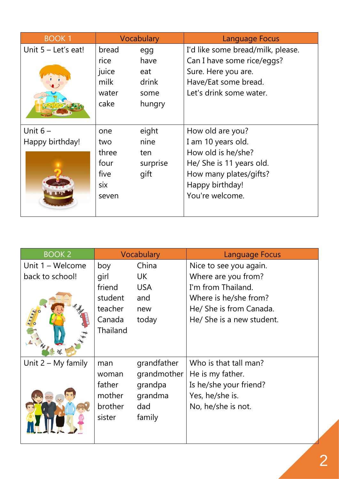| <b>BOOK1</b>          |       | Vocabulary | Language Focus                    |
|-----------------------|-------|------------|-----------------------------------|
| Unit $5 -$ Let's eat! | bread | egg        | I'd like some bread/milk, please. |
|                       | rice  | have       | Can I have some rice/eggs?        |
|                       | juice | eat        | Sure. Here you are.               |
|                       | milk  | drink      | Have/Eat some bread.              |
|                       | water | some       | Let's drink some water.           |
|                       | cake  | hungry     |                                   |
|                       |       |            |                                   |
| Unit $6-$             | one   | eight      | How old are you?                  |
| Happy birthday!       | two   | nine       | I am 10 years old.                |
|                       | three | ten        | How old is he/she?                |
|                       | four  | surprise   | He/ She is 11 years old.          |
|                       | five  | gift       | How many plates/gifts?            |
|                       | six   |            | Happy birthday!                   |
|                       | seven |            | You're welcome.                   |
|                       |       |            |                                   |

| <b>BOOK 2</b>        |                 | Vocabulary  | <b>Language Focus</b>     |
|----------------------|-----------------|-------------|---------------------------|
| Unit $1 -$ Welcome   | boy             | China       | Nice to see you again.    |
| back to school!      | girl            | <b>UK</b>   | Where are you from?       |
|                      | friend          | <b>USA</b>  | I'm from Thailand.        |
|                      | student         | and         | Where is he/she from?     |
|                      | teacher         | new         | He/ She is from Canada.   |
|                      | Canada          | today       | He/ She is a new student. |
|                      | <b>Thailand</b> |             |                           |
| Unit $2 - My$ family | man             | grandfather | Who is that tall man?     |
|                      | woman           | grandmother | He is my father.          |
|                      | father          | grandpa     | Is he/she your friend?    |
|                      | mother          | grandma     | Yes, he/she is.           |
|                      | brother         | dad         | No, he/she is not.        |
|                      | sister          | family      |                           |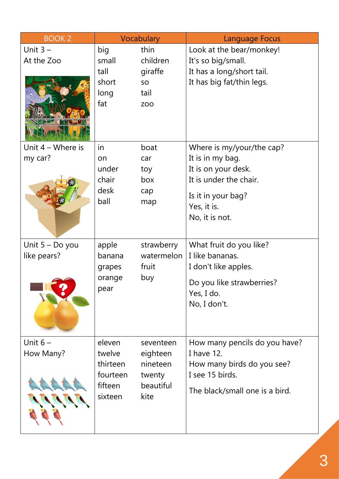| <b>BOOK 2</b>                    |                                                                | Vocabulary                                                       | Language Focus                                                                                                                                        |
|----------------------------------|----------------------------------------------------------------|------------------------------------------------------------------|-------------------------------------------------------------------------------------------------------------------------------------------------------|
| Unit $3 -$<br>At the Zoo         | big<br>small<br>tall<br>short<br>long<br>fat                   | thin<br>children<br>giraffe<br>SO<br>tail<br><b>ZOO</b>          | Look at the bear/monkey!<br>It's so big/small.<br>It has a long/short tail.<br>It has big fat/thin legs.                                              |
| Unit $4 -$ Where is<br>my car?   | in<br>on<br>under<br>chair<br>desk<br>ball                     | boat<br>car<br>toy<br>box<br>cap<br>map                          | Where is my/your/the cap?<br>It is in my bag.<br>It is on your desk.<br>It is under the chair.<br>Is it in your bag?<br>Yes, it is.<br>No, it is not. |
| Unit $5 - Do$ you<br>like pears? | apple<br>banana<br>grapes<br>orange<br>pear                    | strawberry<br>watermelon<br>fruit<br>buy                         | What fruit do you like?<br>I like bananas.<br>I don't like apples.<br>Do you like strawberries?<br>Yes, I do.<br>No, I don't.                         |
| Unit $6-$<br>How Many?           | eleven<br>twelve<br>thirteen<br>fourteen<br>fifteen<br>sixteen | seventeen<br>eighteen<br>nineteen<br>twenty<br>beautiful<br>kite | How many pencils do you have?<br>I have 12.<br>How many birds do you see?<br>I see 15 birds.<br>The black/small one is a bird.                        |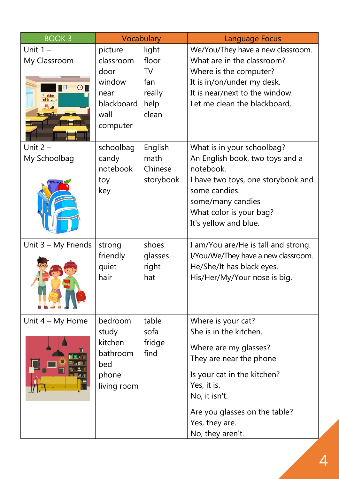| <b>BOOK3</b>                                                       |                                                                                  | Vocabulary                                                    | <b>Language Focus</b>                                                                                                                                                                                                                  |
|--------------------------------------------------------------------|----------------------------------------------------------------------------------|---------------------------------------------------------------|----------------------------------------------------------------------------------------------------------------------------------------------------------------------------------------------------------------------------------------|
| Unit $1 -$<br>My Classroom<br>$\bigcirc$<br>$\circ$ $\blacksquare$ | picture<br>classroom<br>door<br>window<br>near<br>blackboard<br>wall<br>computer | light<br>floor<br><b>TV</b><br>fan<br>really<br>help<br>clean | We/You/They have a new classroom.<br>What are in the classroom?<br>Where is the computer?<br>It is in/on/under my desk.<br>It is near/next to the window.<br>Let me clean the blackboard.                                              |
| Unit $2 -$<br>My Schoolbag                                         | schoolbag<br>candy<br>notebook<br>toy<br>key                                     | English<br>math<br>Chinese<br>storybook                       | What is in your schoolbag?<br>An English book, two toys and a<br>notebook.<br>I have two toys, one storybook and<br>some candies.<br>some/many candies<br>What color is your bag?<br>It's yellow and blue.                             |
| Unit 3 - My Friends                                                | strong<br>friendly<br>quiet<br>hair                                              | shoes<br>glasses<br>right<br>hat                              | I am/You are/He is tall and strong.<br>I/You/We/They have a new classroom.<br>He/She/It has black eyes.<br>His/Her/My/Your nose is big.                                                                                                |
| Unit $4 - My$ Home                                                 | bedroom<br>study<br>kitchen<br>bathroom<br>bed<br>phone<br>living room           | table<br>sofa<br>fridge<br>find                               | Where is your cat?<br>She is in the kitchen.<br>Where are my glasses?<br>They are near the phone<br>Is your cat in the kitchen?<br>Yes, it is.<br>No, it isn't.<br>Are you glasses on the table?<br>Yes, they are.<br>No, they aren't. |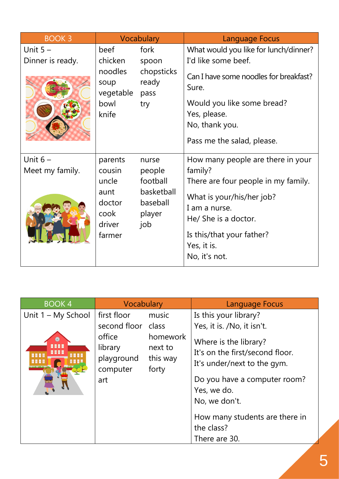| <b>BOOK 3</b>                 |                                                                          | Vocabulary                                                             | <b>Language Focus</b>                                                                                                                                                                                                  |
|-------------------------------|--------------------------------------------------------------------------|------------------------------------------------------------------------|------------------------------------------------------------------------------------------------------------------------------------------------------------------------------------------------------------------------|
| Unit $5-$<br>Dinner is ready. | beef<br>chicken<br>noodles<br>soup<br>vegetable<br>bowl<br>knife         | fork<br>spoon<br>chopsticks<br>ready<br>pass<br>try                    | What would you like for lunch/dinner?<br>I'd like some beef.<br>Can I have some noodles for breakfast?<br>Sure.<br>Would you like some bread?<br>Yes, please.<br>No, thank you.<br>Pass me the salad, please.          |
| Unit $6-$<br>Meet my family.  | parents<br>cousin<br>uncle<br>aunt<br>doctor<br>cook<br>driver<br>farmer | nurse<br>people<br>football<br>basketball<br>baseball<br>player<br>job | How many people are there in your<br>family?<br>There are four people in my family.<br>What is your/his/her job?<br>I am a nurse.<br>He/ She is a doctor.<br>Is this/that your father?<br>Yes, it is.<br>No, it's not. |

| <b>BOOK4</b>                                       | Vocabulary                                                                              |                                                   | Language Focus                                                                                                                                                                                                                                                 |
|----------------------------------------------------|-----------------------------------------------------------------------------------------|---------------------------------------------------|----------------------------------------------------------------------------------------------------------------------------------------------------------------------------------------------------------------------------------------------------------------|
| Unit 1 - My School<br><b>HHHH</b><br><b>.</b><br>. | first floor<br>second floor class<br>office<br>library<br>playground<br>computer<br>art | music<br>homework<br>next to<br>this way<br>forty | Is this your library?<br>Yes, it is. /No, it isn't.<br>Where is the library?<br>It's on the first/second floor.<br>It's under/next to the gym.<br>Do you have a computer room?<br>Yes, we do.<br>No, we don't.<br>How many students are there in<br>the class? |
|                                                    |                                                                                         |                                                   | There are 30.                                                                                                                                                                                                                                                  |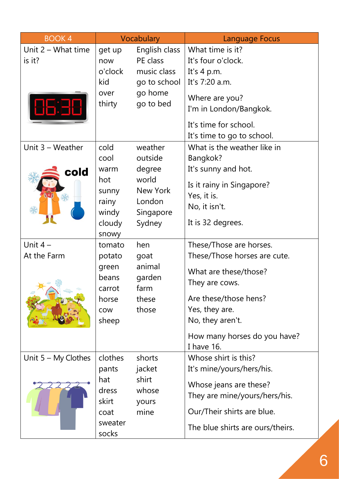| <b>BOOK4</b>                   |                                                                              | Vocabulary                                                                         | Language Focus                                                                                                                                                                                                  |
|--------------------------------|------------------------------------------------------------------------------|------------------------------------------------------------------------------------|-----------------------------------------------------------------------------------------------------------------------------------------------------------------------------------------------------------------|
| Unit $2 -$ What time<br>is it? | get up<br>now<br>o'clock<br>kid<br>over<br>thirty                            | English class<br>PE class<br>music class<br>go to school<br>go home<br>go to bed   | What time is it?<br>It's four o'clock.<br>It's $4$ p.m.<br>It's 7:20 a.m.<br>Where are you?<br>I'm in London/Bangkok.<br>It's time for school.<br>It's time to go to school.                                    |
| Unit $3 -$ Weather<br>cold     | cold<br>cool<br>warm<br>hot<br>sunny<br>rainy<br>windy<br>cloudy<br>snowy    | weather<br>outside<br>degree<br>world<br>New York<br>London<br>Singapore<br>Sydney | What is the weather like in<br>Bangkok?<br>It's sunny and hot.<br>Is it rainy in Singapore?<br>Yes, it is.<br>No, it isn't.<br>It is 32 degrees.                                                                |
| Unit $4-$<br>At the Farm<br>₩° | tomato<br>potato<br>green<br>beans<br>carrot<br>horse<br><b>COW</b><br>sheep | hen<br>goat<br>animal<br>garden<br>farm<br>these<br>those                          | These/Those are horses.<br>These/Those horses are cute.<br>What are these/those?<br>They are cows.<br>Are these/those hens?<br>Yes, they are.<br>No, they aren't.<br>How many horses do you have?<br>I have 16. |
| Unit $5 - My$ Clothes          | clothes<br>pants<br>hat<br>dress<br>skirt<br>coat<br>sweater<br>socks        | shorts<br>jacket<br>shirt<br>whose<br>yours<br>mine                                | Whose shirt is this?<br>It's mine/yours/hers/his.<br>Whose jeans are these?<br>They are mine/yours/hers/his.<br>Our/Their shirts are blue.<br>The blue shirts are ours/theirs.                                  |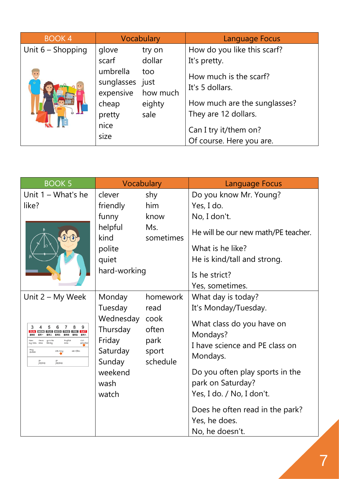| <b>BOOK4</b>        | Vocabulary                                                                  |                                   | Language Focus                                                                                                                                         |
|---------------------|-----------------------------------------------------------------------------|-----------------------------------|--------------------------------------------------------------------------------------------------------------------------------------------------------|
| Unit $6 -$ Shopping | glove                                                                       | try on                            | How do you like this scarf?                                                                                                                            |
|                     | scarf                                                                       | dollar                            | It's pretty.                                                                                                                                           |
|                     | umbrella<br>sunglasses just<br>expensive<br>cheap<br>pretty<br>nice<br>size | too<br>how much<br>eighty<br>sale | How much is the scarf?<br>It's 5 dollars.<br>How much are the sunglasses?<br>They are 12 dollars.<br>Can I try it/them on?<br>Of course. Here you are. |

| <b>BOOK 5</b>                                                                | Vocabulary            |                   | Language Focus                        |
|------------------------------------------------------------------------------|-----------------------|-------------------|---------------------------------------|
| Unit $1 - What's$ he                                                         | clever                | shy               | Do you know Mr. Young?                |
| like?                                                                        | friendly              | him               | Yes, I do.                            |
|                                                                              | funny                 | know              | No, I don't.                          |
|                                                                              | helpful<br>kind       | Ms.<br>sometimes  | He will be our new math/PE teacher.   |
|                                                                              | polite                |                   | What is he like?                      |
|                                                                              | quiet                 |                   | He is kind/tall and strong.           |
|                                                                              | hard-working          |                   | Is he strict?                         |
|                                                                              |                       |                   | Yes, sometimes.                       |
| Unit 2 – My Week                                                             | Monday                | homework          | What day is today?                    |
|                                                                              | Tuesday               | read              | It's Monday/Tuesday.                  |
| 3<br>6<br>8                                                                  | Wednesday<br>Thursday | cook<br>often     | What class do you have on<br>Mondays? |
| dance<br>go to the<br>library<br><b>Englis</b><br>grandm<br>class            | Friday                | park              | I have science and PE class on        |
| Play<br>football<br>call Amy<br>see a film<br>go<br>jogging<br>yo<br>jogging | Saturday<br>Sunday    | sport<br>schedule | Mondays.                              |
|                                                                              | weekend               |                   | Do you often play sports in the       |
|                                                                              | wash                  |                   | park on Saturday?                     |
|                                                                              | watch                 |                   | Yes, I do. / No, I don't.             |
|                                                                              |                       |                   | Does he often read in the park?       |
|                                                                              |                       |                   | Yes, he does.                         |
|                                                                              |                       |                   | No, he doesn't.                       |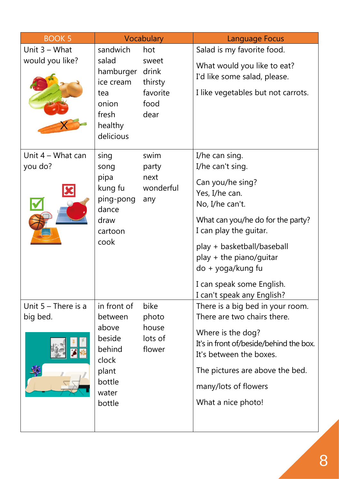| <b>BOOK 5</b>                      |                                                        | Vocabulary                                   | <b>Language Focus</b>                                                                                                                                     |
|------------------------------------|--------------------------------------------------------|----------------------------------------------|-----------------------------------------------------------------------------------------------------------------------------------------------------------|
| Unit $3 - What$<br>would you like? | sandwich<br>salad                                      | hot<br>sweet                                 | Salad is my favorite food.<br>What would you like to eat?                                                                                                 |
|                                    | hamburger<br>ice cream                                 | drink<br>thirsty<br>favorite<br>food<br>dear | I'd like some salad, please.                                                                                                                              |
|                                    | tea<br>onion<br>fresh<br>healthy<br>delicious          |                                              | I like vegetables but not carrots.                                                                                                                        |
| Unit $4 -$ What can<br>you do?     | sing<br>song                                           | swim<br>party                                | I/he can sing.<br>I/he can't sing.                                                                                                                        |
| pipa<br>kung fu                    | ping-pong<br>dance                                     | next<br>wonderful<br>any                     | Can you/he sing?<br>Yes, I/he can.<br>No, I/he can't.                                                                                                     |
|                                    | draw<br>cartoon                                        |                                              | What can you/he do for the party?<br>I can play the guitar.                                                                                               |
|                                    | cook                                                   |                                              | play + basketball/baseball<br>$play + the piano/guitar$<br>do + yoga/kung fu                                                                              |
|                                    |                                                        |                                              | I can speak some English.<br>I can't speak any English?                                                                                                   |
| Unit $5 -$ There is a              | in front of                                            | bike                                         | There is a big bed in your room.                                                                                                                          |
| big bed.                           | between<br>above<br>beside<br>behind<br>clock<br>plant | photo<br>house<br>lots of<br>flower          | There are two chairs there.<br>Where is the dog?<br>It's in front of/beside/behind the box.<br>It's between the boxes.<br>The pictures are above the bed. |
|                                    | bottle                                                 |                                              | many/lots of flowers                                                                                                                                      |
|                                    | water<br>bottle                                        |                                              | What a nice photo!                                                                                                                                        |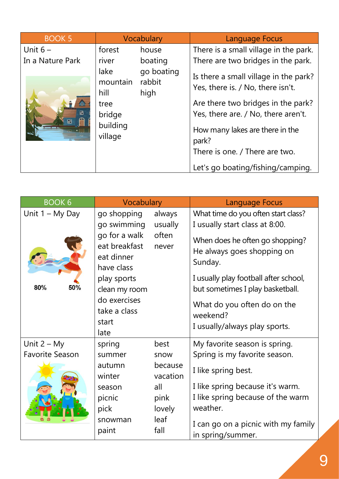| <b>BOOK 5</b>    |                                                                   | Vocabulary                   | Language Focus                                                                                                                                                                                                                                                             |
|------------------|-------------------------------------------------------------------|------------------------------|----------------------------------------------------------------------------------------------------------------------------------------------------------------------------------------------------------------------------------------------------------------------------|
| Unit $6-$        | forest                                                            | house                        | There is a small village in the park.                                                                                                                                                                                                                                      |
| In a Nature Park | river                                                             | boating                      | There are two bridges in the park.                                                                                                                                                                                                                                         |
| E.<br>田<br>田     | lake<br>mountain<br>hill<br>tree<br>bridge<br>building<br>village | go boating<br>rabbit<br>high | Is there a small village in the park?<br>Yes, there is. / No, there isn't.<br>Are there two bridges in the park?<br>Yes, there are. / No, there aren't.<br>How many lakes are there in the<br>park?<br>There is one. / There are two.<br>Let's go boating/fishing/camping. |

| <b>BOOK 6</b>          | Vocabulary                                                 |                     | <b>Language Focus</b>                                                    |                                                                           |
|------------------------|------------------------------------------------------------|---------------------|--------------------------------------------------------------------------|---------------------------------------------------------------------------|
| Unit $1 - My$ Day      | go shopping<br>go swimming                                 | always<br>usually   | What time do you often start class?<br>I usually start class at 8:00.    |                                                                           |
|                        | go for a walk<br>eat breakfast<br>eat dinner<br>have class | often<br>never      | When does he often go shopping?<br>He always goes shopping on<br>Sunday. |                                                                           |
| 80%<br>50%             | play sports<br>clean my room                               |                     |                                                                          | I usually play football after school,<br>but sometimes I play basketball. |
|                        | do exercises<br>take a class<br>start<br>late              |                     | What do you often do on the<br>weekend?<br>I usually/always play sports. |                                                                           |
| Unit $2 - My$          | spring                                                     | best                | My favorite season is spring.                                            |                                                                           |
| <b>Favorite Season</b> | summer                                                     | snow                | Spring is my favorite season.                                            |                                                                           |
|                        | autumn<br>winter                                           | because<br>vacation | I like spring best.                                                      |                                                                           |
|                        | season                                                     | all                 | I like spring because it's warm.                                         |                                                                           |
|                        | picnic                                                     | pink                | I like spring because of the warm                                        |                                                                           |
|                        | pick                                                       | lovely              | weather.                                                                 |                                                                           |
|                        | snowman<br>paint                                           | leaf<br>fall        | I can go on a picnic with my family<br>in spring/summer.                 |                                                                           |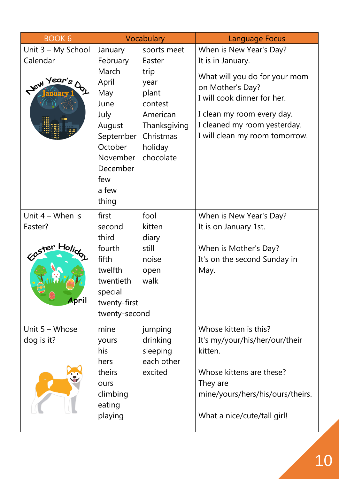| <b>BOOK 6</b>                                            | Vocabulary                                                                                                                                      |                                                                                                                            | <b>Language Focus</b>                                                                                                                                                                                                            |
|----------------------------------------------------------|-------------------------------------------------------------------------------------------------------------------------------------------------|----------------------------------------------------------------------------------------------------------------------------|----------------------------------------------------------------------------------------------------------------------------------------------------------------------------------------------------------------------------------|
| Unit 3 - My School<br>Calendar<br>Jew Year's             | January<br>February<br>March<br>April<br>May<br>June<br>July<br>August<br>September<br>October<br>November<br>December<br>few<br>a few<br>thing | sports meet<br>Easter<br>trip<br>year<br>plant<br>contest<br>American<br>Thanksgiving<br>Christmas<br>holiday<br>chocolate | When is New Year's Day?<br>It is in January.<br>What will you do for your mom<br>on Mother's Day?<br>I will cook dinner for her.<br>I clean my room every day.<br>I cleaned my room yesterday.<br>I will clean my room tomorrow. |
| Unit $4 -$ When is<br>Easter?<br>Easter Holidge<br>April | first<br>second<br>third<br>fourth<br>fifth<br>twelfth<br>twentieth<br>special<br>twenty-first<br>twenty-second                                 | fool<br>kitten<br>diary<br>still<br>noise<br>open<br>walk                                                                  | When is New Year's Day?<br>It is on January 1st.<br>When is Mother's Day?<br>It's on the second Sunday in<br>May.                                                                                                                |
| Unit $5 - Whose$<br>dog is it?                           | mine<br>yours<br>his<br>hers<br>theirs<br>ours<br>climbing<br>eating<br>playing                                                                 | jumping<br>drinking<br>sleeping<br>each other<br>excited                                                                   | Whose kitten is this?<br>It's my/your/his/her/our/their<br>kitten.<br>Whose kittens are these?<br>They are<br>mine/yours/hers/his/ours/theirs.<br>What a nice/cute/tall girl!                                                    |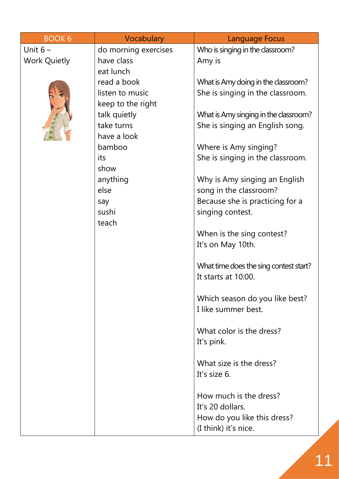| <b>BOOK 6</b>       | Vocabulary           | Language Focus                         |
|---------------------|----------------------|----------------------------------------|
| Unit $6-$           | do morning exercises | Who is singing in the classroom?       |
| <b>Work Quietly</b> | have class           | Amy is                                 |
|                     | eat lunch            |                                        |
|                     | read a book          | What is Amy doing in the classroom?    |
|                     | listen to music      | She is singing in the classroom.       |
|                     | keep to the right    |                                        |
|                     | talk quietly         | What is Amy singing in the classroom?  |
|                     | take turns           | She is singing an English song.        |
|                     | have a look          |                                        |
|                     | bamboo               | Where is Amy singing?                  |
|                     | its                  | She is singing in the classroom.       |
|                     | show                 |                                        |
|                     | anything<br>else     | Why is Amy singing an English          |
|                     |                      | song in the classroom?                 |
|                     | say<br>sushi         | Because she is practicing for a        |
|                     | teach                | singing contest.                       |
|                     |                      | When is the sing contest?              |
|                     |                      | It's on May 10th.                      |
|                     |                      |                                        |
|                     |                      | What time does the sing contest start? |
|                     |                      | It starts at 10:00.                    |
|                     |                      |                                        |
|                     |                      | Which season do you like best?         |
|                     |                      | I like summer best.                    |
|                     |                      |                                        |
|                     |                      | What color is the dress?               |
|                     |                      | It's pink.                             |
|                     |                      |                                        |
|                     |                      | What size is the dress?                |
|                     |                      | It's size 6.                           |
|                     |                      | How much is the dress?                 |
|                     |                      | It's 20 dollars.                       |
|                     |                      | How do you like this dress?            |
|                     |                      | (I think) it's nice.                   |
|                     |                      |                                        |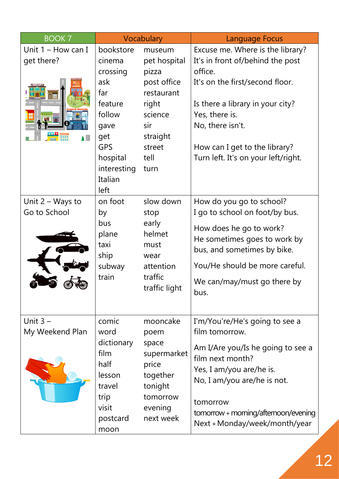| <b>BOOK 7</b>        | Vocabulary                                      |                                | Language Focus                       |
|----------------------|-------------------------------------------------|--------------------------------|--------------------------------------|
| Unit $1 -$ How can I | bookstore                                       | museum                         | Excuse me. Where is the library?     |
| get there?           | cinema                                          | pet hospital                   | It's in front of/behind the post     |
|                      | crossing                                        | pizza                          | office.                              |
|                      | ask                                             | post office                    | It's on the first/second floor.      |
| T۰                   | far                                             | restaurant                     |                                      |
|                      | feature                                         | right                          | Is there a library in your city?     |
|                      | follow                                          | science                        | Yes, there is.                       |
|                      | gave                                            | sir                            | No, there isn't.                     |
| $\blacksquare$       | get                                             | straight                       |                                      |
|                      | <b>GPS</b>                                      | street                         | How can I get to the library?        |
|                      | hospital                                        | tell                           | Turn left. It's on your left/right.  |
|                      | interesting                                     | turn                           |                                      |
|                      | Italian                                         |                                |                                      |
|                      | left                                            |                                |                                      |
| Unit $2 - W$ ays to  | on foot                                         | slow down                      | How do you go to school?             |
| Go to School         | by<br>stop                                      | I go to school on foot/by bus. |                                      |
|                      | bus                                             | early                          | How does he go to work?              |
|                      | plane<br>helmet<br>taxi<br>must<br>ship<br>wear | He sometimes goes to work by   |                                      |
|                      |                                                 | bus, and sometimes by bike.    |                                      |
|                      | subway                                          | attention                      | You/He should be more careful.       |
|                      | traffic<br>train<br>traffic light               |                                |                                      |
|                      |                                                 | We can/may/must go there by    |                                      |
|                      |                                                 |                                | bus.                                 |
|                      |                                                 |                                |                                      |
| Unit $3 -$           | comic                                           | mooncake                       | I'm/You're/He's going to see a       |
| My Weekend Plan      | word                                            | poem                           | film tomorrow.                       |
|                      | dictionary                                      | space                          |                                      |
|                      | film                                            | supermarket                    | Am I/Are you/Is he going to see a    |
|                      | half                                            | price                          | film next month?                     |
|                      | lesson                                          | together                       | Yes, I am/you are/he is.             |
|                      | travel                                          | tonight                        | No, I am/you are/he is not.          |
|                      | trip                                            | tomorrow                       | tomorrow                             |
|                      | visit                                           | evening                        | tomorrow + morning/afternoon/evening |
| postcard<br>moon     |                                                 | next week                      | Next + Monday/week/month/year        |
|                      |                                                 |                                |                                      |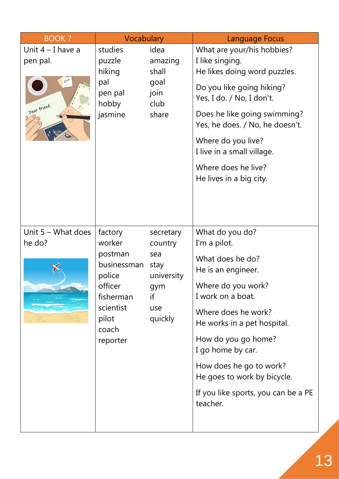| <b>BOOK 7</b>                                   | Vocabulary                                                                                                               |                                                                                  | <b>Language Focus</b>                                                                                                                                                                                                                                                                                                               |
|-------------------------------------------------|--------------------------------------------------------------------------------------------------------------------------|----------------------------------------------------------------------------------|-------------------------------------------------------------------------------------------------------------------------------------------------------------------------------------------------------------------------------------------------------------------------------------------------------------------------------------|
| Unit $4 - I$ have a<br>pen pal.<br>Dear friend, | studies<br>puzzle<br>hiking<br>pal<br>pen pal<br>hobby<br>jasmine                                                        | idea<br>amazing<br>shall<br>goal<br>join<br>club<br>share                        | What are your/his hobbies?<br>I like singing.<br>He likes doing word puzzles.<br>Do you like going hiking?<br>Yes, I do. / No, I don't.<br>Does he like going swimming?<br>Yes, he does. / No, he doesn't.<br>Where do you live?<br>I live in a small village.<br>Where does he live?<br>He lives in a big city.                    |
| Unit $5 -$ What does<br>he do?                  | factory<br>worker<br>postman<br>businessman<br>police<br>officer<br>fisherman<br>scientist<br>pilot<br>coach<br>reporter | secretary<br>country<br>sea<br>stay<br>university<br>gym<br>if<br>use<br>quickly | What do you do?<br>I'm a pilot.<br>What does he do?<br>He is an engineer.<br>Where do you work?<br>I work on a boat.<br>Where does he work?<br>He works in a pet hospital.<br>How do you go home?<br>I go home by car.<br>How does he go to work?<br>He goes to work by bicycle.<br>If you like sports, you can be a PE<br>teacher. |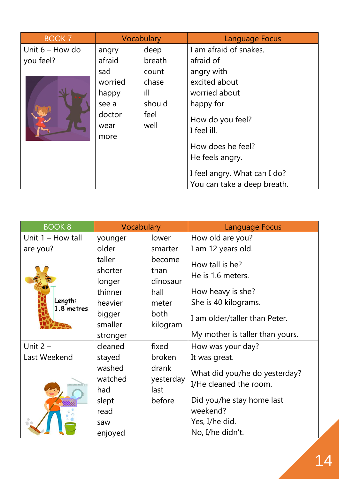| <b>BOOK 7</b>          |              | Vocabulary                      | Language Focus                                              |
|------------------------|--------------|---------------------------------|-------------------------------------------------------------|
| Unit $6 -$ How do      | angry        | deep                            | I am afraid of snakes.                                      |
| you feel?              | afraid       | breath                          | afraid of                                                   |
|                        | sad          | count                           | angry with                                                  |
|                        | worried      | chase                           | excited about                                               |
|                        | happy        | ill                             | worried about                                               |
|                        | see a        | should                          | happy for                                                   |
| doctor<br>wear<br>more | feel<br>well | How do you feel?<br>I feel ill. |                                                             |
|                        |              |                                 | How does he feel?                                           |
|                        |              |                                 | He feels angry.                                             |
|                        |              |                                 | I feel angry. What can I do?<br>You can take a deep breath. |

| <b>BOOK 8</b>              | Vocabulary                                                             |                                                                 | Language Focus                                                                                                     |
|----------------------------|------------------------------------------------------------------------|-----------------------------------------------------------------|--------------------------------------------------------------------------------------------------------------------|
| Unit $1 -$ How tall        | younger                                                                | lower                                                           | How old are you?                                                                                                   |
| are you?                   | older                                                                  | smarter                                                         | I am 12 years old.                                                                                                 |
| Length:<br>1.8 metres      | taller<br>shorter<br>longer<br>thinner<br>heavier<br>bigger<br>smaller | become<br>than<br>dinosaur<br>hall<br>meter<br>both<br>kilogram | How tall is he?<br>He is 1.6 meters.<br>How heavy is she?<br>She is 40 kilograms.<br>I am older/taller than Peter. |
|                            | stronger                                                               |                                                                 | My mother is taller than yours.                                                                                    |
| Unit $2 -$<br>Last Weekend | cleaned<br>stayed                                                      | fixed<br>broken                                                 | How was your day?<br>It was great.                                                                                 |
|                            | washed<br>watched<br>had                                               | drank<br>yesterday<br>last                                      | What did you/he do yesterday?<br>I/He cleaned the room.                                                            |
|                            | slept<br>read                                                          | before                                                          | Did you/he stay home last<br>weekend?                                                                              |
|                            | saw                                                                    |                                                                 | Yes, I/he did.                                                                                                     |
|                            | enjoyed                                                                |                                                                 | No, I/he didn't.                                                                                                   |